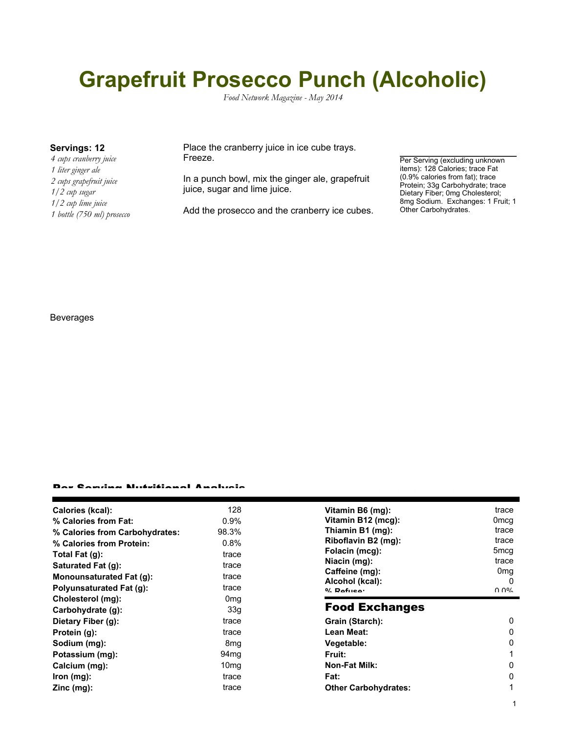# **Grapefruit Prosecco Punch (Alcoholic)**

*Food Network Magazine - May 2014*

*4 cups cranberry juice 1 liter ginger ale 2 cups grapefruit juice 1/2 cup sugar 1/2 cup lime juice 1 bottle (750 ml) prosecco*

**Servings: 12** Place the cranberry juice in ice cube trays. Freeze.

> In a punch bowl, mix the ginger ale, grapefruit juice, sugar and lime juice.

Add the prosecco and the cranberry ice cubes.

Per Serving (excluding unknown items): 128 Calories; trace Fat (0.9% calories from fat); trace Protein; 33g Carbohydrate; trace Dietary Fiber; 0mg Cholesterol; 8mg Sodium. Exchanges: 1 Fruit; 1 Other Carbohydrates.

#### Beverages

#### Per Serving Nutritional Analysis

| Calories (kcal):                 | 128              | Vitamin B6 (mg):                  | trace                                      |
|----------------------------------|------------------|-----------------------------------|--------------------------------------------|
| % Calories from Fat:             | $0.9\%$          | Vitamin B12 (mcg):                | 0mcg                                       |
| % Calories from Carbohydrates:   | 98.3%            | Thiamin B1 (mg):                  | trace                                      |
| % Calories from Protein:         | 0.8%             | Riboflavin B2 (mg):               | trace                                      |
| Total Fat $(g)$ :                | trace            | Folacin (mcg):                    | 5mcg                                       |
| Saturated Fat (g):               | trace            | Niacin (mg):                      | trace                                      |
| Monounsaturated Fat (g):         | trace            | Caffeine (mg):                    | 0 <sub>mg</sub>                            |
| <b>Polyunsaturated Fat (g):</b>  | trace            | Alcohol (kcal):<br>$0/2$ Pofileon | 0<br>$\Omega$ $\Omega$ <sup>o</sup> $\sim$ |
| Cholesterol (mg):                | 0 <sub>mq</sub>  |                                   |                                            |
|                                  |                  |                                   |                                            |
| Carbohydrate (g):                | 33 <sub>q</sub>  | <b>Food Exchanges</b>             |                                            |
| Dietary Fiber (g):               | trace            | Grain (Starch):                   | 0                                          |
| Protein (g):                     | trace            | Lean Meat:                        | 0                                          |
| Sodium (mg):                     | 8 <sub>mg</sub>  | Vegetable:                        | 0                                          |
|                                  | 94 <sub>mg</sub> | <b>Fruit:</b>                     |                                            |
| Potassium (mg):<br>Calcium (mg): | 10 <sub>mq</sub> | Non-Fat Milk:                     | 0                                          |
| lron (mg):                       | trace            | Fat:                              | 0                                          |